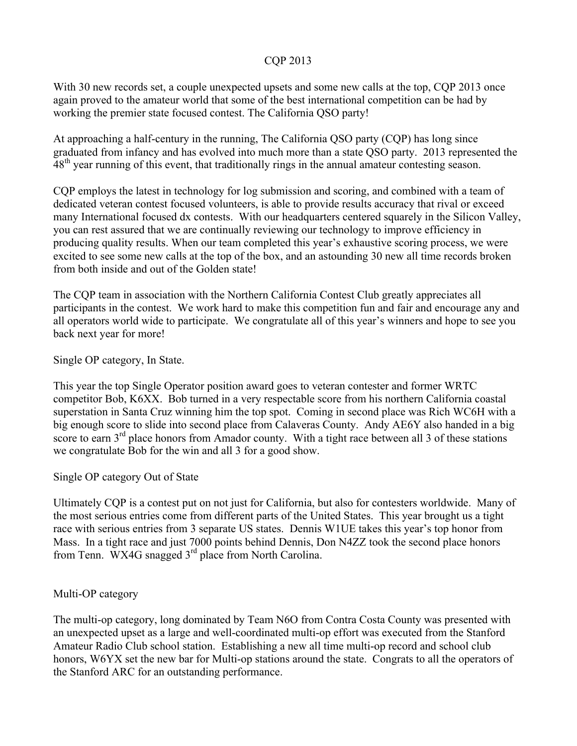#### CQP 2013

With 30 new records set, a couple unexpected upsets and some new calls at the top, CQP 2013 once again proved to the amateur world that some of the best international competition can be had by working the premier state focused contest. The California QSO party!

At approaching a half-century in the running, The California QSO party (CQP) has long since graduated from infancy and has evolved into much more than a state QSO party. 2013 represented the 48<sup>th</sup> year running of this event, that traditionally rings in the annual amateur contesting season.

CQP employs the latest in technology for log submission and scoring, and combined with a team of dedicated veteran contest focused volunteers, is able to provide results accuracy that rival or exceed many International focused dx contests. With our headquarters centered squarely in the Silicon Valley, you can rest assured that we are continually reviewing our technology to improve efficiency in producing quality results. When our team completed this year's exhaustive scoring process, we were excited to see some new calls at the top of the box, and an astounding 30 new all time records broken from both inside and out of the Golden state!

The CQP team in association with the Northern California Contest Club greatly appreciates all participants in the contest. We work hard to make this competition fun and fair and encourage any and all operators world wide to participate. We congratulate all of this year's winners and hope to see you back next year for more!

Single OP category, In State.

This year the top Single Operator position award goes to veteran contester and former WRTC competitor Bob, K6XX. Bob turned in a very respectable score from his northern California coastal superstation in Santa Cruz winning him the top spot. Coming in second place was Rich WC6H with a big enough score to slide into second place from Calaveras County. Andy AE6Y also handed in a big score to earn 3<sup>rd</sup> place honors from Amador county. With a tight race between all 3 of these stations we congratulate Bob for the win and all 3 for a good show.

# Single OP category Out of State

Ultimately CQP is a contest put on not just for California, but also for contesters worldwide. Many of the most serious entries come from different parts of the United States. This year brought us a tight race with serious entries from 3 separate US states. Dennis W1UE takes this year's top honor from Mass. In a tight race and just 7000 points behind Dennis, Don N4ZZ took the second place honors from Tenn. WX4G snagged 3<sup>rd</sup> place from North Carolina.

#### Multi-OP category

The multi-op category, long dominated by Team N6O from Contra Costa County was presented with an unexpected upset as a large and well-coordinated multi-op effort was executed from the Stanford Amateur Radio Club school station. Establishing a new all time multi-op record and school club honors, W6YX set the new bar for Multi-op stations around the state. Congrats to all the operators of the Stanford ARC for an outstanding performance.